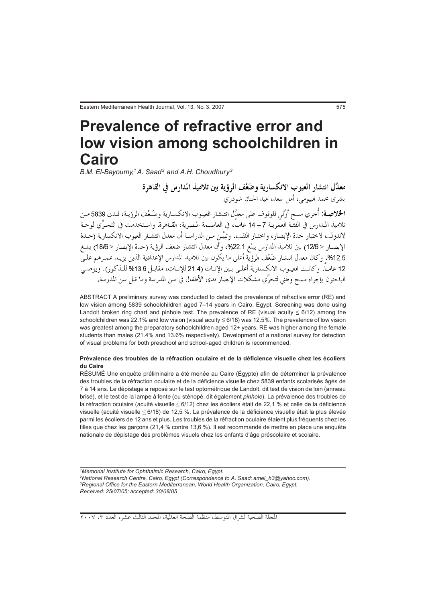# **Prevalence of refractive error and** low vision among schoolchildren in Cairo

B.M. El-Bayoumy,1 A. Saad<sup>2</sup> and A.H. Choudhury<sup>3</sup>

معدَّل انتشار العيوب الانكسارية وضَعْف الرؤية بين تلاميذ المدارس في القاهرة بشري محمد البيومي، أمل سعد، عبد الحنان شودري ا**لخلاصـة:** أُجري مسح أوَّلي للوقوف على معدَّل انتـشار العيـوب الانكـسارية وضَـعْف الرؤيـة، لـدى 5839 مـن .<br>تلاميذ المـدارس في الفئـة العمريـة 7 – 14 عامـاً، في العاصـمة المـصرية، القــاهرة. واسـتخدمت في التحـرِّي لوحـة لاندولت لاختبار حدة الإبصار، واختبار الثقب. وتُبيَّـن مـن الدراسـة أن معدل انتشـار العيوب الانكسارية (حـدة الإبصـار ≤ 12/6) بين تلاميذ المدارس يبلغ 22.1%، وأن معدل انتشار ضعف الرؤية (حدة الإبصار ≤ 18/6) يبلـغ 12.5%. وكان معدل انتشار ضَعْف الرؤية أعلى ما يكون بين تلاميذ المدارس الإعدادية الذين يزيـد عمـرهـم علـي 12 عامـاً. وكانـت العيـوب الانكـسارية أعلـي بـين الإنـاث (21.4 للإنـاث، مقابـل 13.6% للـذكور). ويوصـي الباحثون بإجراء مسح وطني لتحرِّي مشكلات الإبصار لدى الأطفال في سن المدرسة وما قبل سن المدرسة.

ABSTRACT A preliminary survey was conducted to detect the prevalence of refractive error (RE) and low vision among 5839 schoolchildren aged 7-14 years in Cairo, Egypt. Screening was done using Landolt broken ring chart and pinhole test. The prevalence of RE (visual acuity  $\leq 6/12$ ) among the schoolchildren was 22.1% and low vision (visual acuity  $\leq 6/18$ ) was 12.5%. The prevalence of low vision was greatest among the preparatory schoolchildren aged 12+ years. RE was higher among the female students than males (21.4% and 13.6% respectively). Development of a national survey for detection of visual problems for both preschool and school-aged children is recommended.

#### Prévalence des troubles de la réfraction oculaire et de la déficience visuelle chez les écoliers du Caire

RÉSUMÉ Une enquête préliminaire a été menée au Caire (Égypte) afin de déterminer la prévalence des troubles de la réfraction oculaire et de la déficience visuelle chez 5839 enfants scolarisés âgés de 7 à 14 ans. Le dépistage a reposé sur le test optométrique de Landolt, dit test de vision de loin (anneau brisé), et le test de la lampe à fente (ou sténopé, dit également *pinhole*). La prévalence des troubles de la réfraction oculaire (acuité visuelle  $\leq 6/12$ ) chez les écoliers était de 22,1 % et celle de la déficience visuelle (acuité visuelle ≤ 6/18) de 12,5 %. La prévalence de la déficience visuelle était la plus élevée parmi les écoliers de 12 ans et plus. Les troubles de la réfraction oculaire étaient plus fréquents chez les filles que chez les garçons (21,4 % contre 13,6 %). Il est recommandé de mettre en place une enquête nationale de dépistage des problèmes visuels chez les enfants d'âge préscolaire et scolaire.

<sup>1</sup>Memorial Institute for Ophthalmic Research, Cairo, Egypt. <sup>2</sup>National Research Centre, Cairo, Egypt (Correspondence to A. Saad: amel\_h3@yahoo.com). <sup>3</sup>Regional Office for the Eastern Mediterranean, World Health Organization, Cairo, Egypt. Received: 25/07/05; accepted: 30/08/05

المجلة الصحية لشرق المتوسط، منظمة الصحة العالمية، المجلد الثالث عشر، العدد ،٣ ٢٠٠٧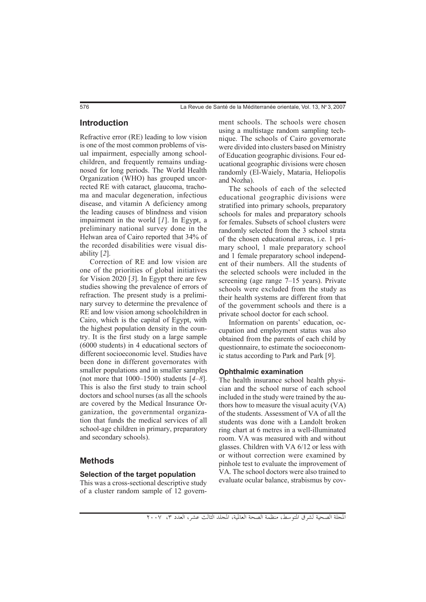## Introduction

Refractive error (RE) leading to low vision is one of the most common problems of visual impairment, especially among schoolchildren, and frequently remains undiagnosed for long periods. The World Health Organization (WHO) has grouped uncorrected RE with cataract, glaucoma, trachoma and macular degeneration, infectious disease, and vitamin A deficiency among the leading causes of blindness and vision impairment in the world [*1*]. In Egypt, a preliminary national survey done in the Helwan area of Cairo reported that 34% of the recorded disabilities were visual disability [*2*].

Correction of RE and low vision are one of the priorities of global initiatives for Vision 2020 [*3*]. In Egypt there are few studies showing the prevalence of errors of refraction. The present study is a preliminary survey to determine the prevalence of RE and low vision among schoolchildren in Cairo, which is the capital of Egypt, with the highest population density in the country. It is the first study on a large sample (6000 students) in 4 educational sectors of different socioeconomic level. Studies have been done in different governorates with smaller populations and in smaller samples (not more that 1000–1500) students [*4–8*]. This is also the first study to train school doctors and school nurses (as all the schools are covered by the Medical Insurance Organization, the governmental organization that funds the medical services of all school-age children in primary, preparatory and secondary schools).

## **Methods**

## Selection of the target population

This was a cross-sectional descriptive study of a cluster random sample of 12 government schools. The schools were chosen using a multistage random sampling technique. The schools of Cairo governorate were divided into clusters based on Ministry of Education geographic divisions. Four educational geographic divisions were chosen randomly (El-Waiely, Mataria, Heliopolis and Nozha).

The schools of each of the selected educational geographic divisions were stratified into primary schools, preparatory schools for males and preparatory schools for females. Subsets of school clusters were randomly selected from the 3 school strata of the chosen educational areas, i.e. 1 primary school, 1 male preparatory school and 1 female preparatory school independent of their numbers. All the students of the selected schools were included in the screening (age range 7–15 years). Private schools were excluded from the study as their health systems are different from that of the government schools and there is a private school doctor for each school.

Information on parents' education, occupation and employment status was also obtained from the parents of each child by questionnaire, to estimate the socioeconomic status according to Park and Park [*9*].

#### **Ophthalmic examination**

The health insurance school health physician and the school nurse of each school included in the study were trained by the authors how to measure the visual acuity (VA) of the students. Assessment of VA of all the students was done with a Landolt broken ring chart at 6 metres in a well-illuminated room. VA was measured with and without glasses. Children with VA 6/12 or less with or without correction were examined by pinhole test to evaluate the improvement of VA. The school doctors were also trained to evaluate ocular balance, strabismus by cov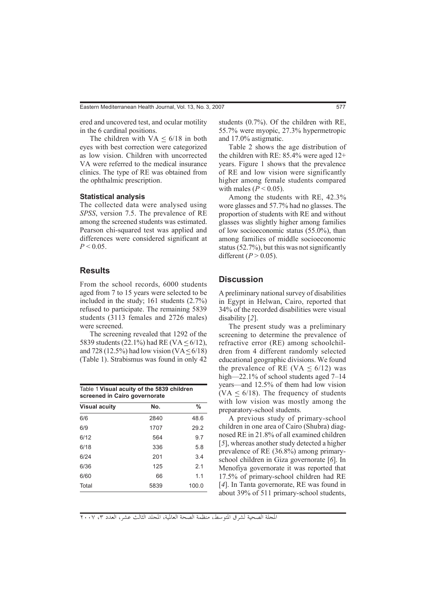ered and uncovered test, and ocular motility in the 6 cardinal positions.

The children with  $VA \leq 6/18$  in both eyes with best correction were categorized as low vision. Children with uncorrected VA were referred to the medical insurance clinics. The type of RE was obtained from the ophthalmic prescription.

#### **Statistical analysis**

The collected data were analysed using *SPSS*, version 7.5. The prevalence of RE among the screened students was estimated. Pearson chi-squared test was applied and differences were considered significant at  $P < 0.05$ .

# **Results**

From the school records, 6000 students aged from 7 to 15 years were selected to be included in the study; 161 students (2.7%) refused to participate. The remaining 5839 students (3113 females and 2726 males) were screened.

The screening revealed that 1292 of the 5839 students (22.1%) had RE (VA  $\leq 6/12$ ), and 728 (12.5%) had low vision (VA  $\leq 6/18$ ) (Table 1). Strabismus was found in only 42

| Table 1 Visual acuity of the 5839 children<br>screened in Cairo governorate |      |       |  |  |  |  |  |  |
|-----------------------------------------------------------------------------|------|-------|--|--|--|--|--|--|
| <b>Visual acuity</b>                                                        | No.  | %     |  |  |  |  |  |  |
| 6/6                                                                         | 2840 | 48.6  |  |  |  |  |  |  |
| 6/9                                                                         | 1707 | 29.2  |  |  |  |  |  |  |
| 6/12                                                                        | 564  | 9.7   |  |  |  |  |  |  |
| 6/18                                                                        | 336  | 5.8   |  |  |  |  |  |  |
| 6/24                                                                        | 201  | 3.4   |  |  |  |  |  |  |
| 6/36                                                                        | 125  | 2.1   |  |  |  |  |  |  |
| 6/60                                                                        | 66   | 1.1   |  |  |  |  |  |  |
| Total                                                                       | 5839 | 100.0 |  |  |  |  |  |  |

students (0.7%). Of the children with RE, 55.7% were myopic, 27.3% hypermetropic and 17.0% astigmatic.

Table 2 shows the age distribution of the children with RE: 85.4% were aged 12+ years. Figure 1 shows that the prevalence of RE and low vision were significantly higher among female students compared with males  $(P < 0.05)$ .

Among the students with RE, 42.3% wore glasses and 57.7% had no glasses. The proportion of students with RE and without glasses was slightly higher among families of low socioeconomic status (55.0%), than among families of middle socioeconomic status (52.7%), but this was not significantly different  $(P > 0.05)$ .

## **Discussion**

A preliminary national survey of disabilities in Egypt in Helwan, Cairo, reported that 34% of the recorded disabilities were visual disability [*2*].

The present study was a preliminary screening to determine the prevalence of refractive error (RE) among schoolchildren from 4 different randomly selected educational geographic divisions. We found the prevalence of RE (VA  $\leq 6/12$ ) was high—22.1% of school students aged 7–14 years—and 12.5% of them had low vision (VA  $\leq$  6/18). The frequency of students with low vision was mostly among the preparatory-school students.

A previous study of primary-school children in one area of Cairo (Shubra) diagnosed RE in 21.8% of all examined children [*5*], whereas another study detected a higher prevalence of RE (36.8%) among primaryschool children in Giza governorate [*6*]. In Menofiya governorate it was reported that 17.5% of primary-school children had RE [*4*]. In Tanta governorate, RE was found in about 39% of 511 primary-school students,

المجلة الصحية لشرق المتوسط، منظمة الصحة العالمية، المجلد الثالث عشر، العدد ،٣ ٢٠٠٧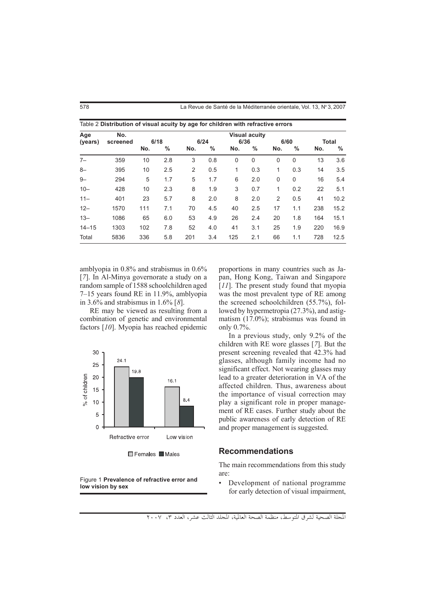| Age<br>(years) | No.<br>screened | <b>Visual acuity</b> |      |      |               |             |             |                |               |       |      |
|----------------|-----------------|----------------------|------|------|---------------|-------------|-------------|----------------|---------------|-------|------|
|                |                 | 6/18                 |      | 6/24 |               | 6/36        |             | 6/60           |               | Total |      |
|                |                 | No.                  | $\%$ | No.  | $\frac{0}{0}$ | No.         | $\%$        | No.            | $\frac{0}{0}$ | No.   | %    |
| $7-$           | 359             | 10                   | 2.8  | 3    | 0.8           | $\mathbf 0$ | $\mathbf 0$ | 0              | $\mathbf 0$   | 13    | 3.6  |
| $8-$           | 395             | 10                   | 2.5  | 2    | 0.5           | 1           | 0.3         | 1              | 0.3           | 14    | 3.5  |
| $9 -$          | 294             | 5                    | 1.7  | 5    | 1.7           | 6           | 2.0         | 0              | $\mathbf 0$   | 16    | 5.4  |
| $10 -$         | 428             | 10                   | 2.3  | 8    | 1.9           | 3           | 0.7         | 1              | 0.2           | 22    | 5.1  |
| $11 -$         | 401             | 23                   | 5.7  | 8    | 2.0           | 8           | 2.0         | $\overline{2}$ | 0.5           | 41    | 10.2 |
| $12 -$         | 1570            | 111                  | 7.1  | 70   | 4.5           | 40          | 2.5         | 17             | 1.1           | 238   | 15.2 |
| $13 -$         | 1086            | 65                   | 6.0  | 53   | 4.9           | 26          | 2.4         | 20             | 1.8           | 164   | 15.1 |
| $14 - 15$      | 1303            | 102                  | 7.8  | 52   | 4.0           | 41          | 3.1         | 25             | 1.9           | 220   | 16.9 |
| Total          | 5836            | 336                  | 5.8  | 201  | 3.4           | 125         | 2.1         | 66             | 1.1           | 728   | 12.5 |

578 **1991 - La Revue de Santé de la Méditerranée orientale**. Vol. 13. N° 3.2007

amblyopia in 0.8% and strabismus in 0.6% [*7*]. In Al-Minya governorate a study on a random sample of 1588 schoolchildren aged 7–15 years found RE in 11.9%, amblyopia in 3.6% and strabismus in 1.6% [*8*].

RE may be viewed as resulting from a combination of genetic and environmental factors [*10*]. Myopia has reached epidemic



Figure 1 Prevalence of refractive error and low vision by sex

proportions in many countries such as Japan, Hong Kong, Taiwan and Singapore [*11*]. The present study found that myopia was the most prevalent type of RE among the screened schoolchildren (55.7%), followed by hypermetropia (27.3%), and astigmatism (17.0%); strabismus was found in only 0.7%.

In a previous study, only 9.2% of the children with RE wore glasses [*7*]. But the present screening revealed that 42.3% had glasses, although family income had no significant effect. Not wearing glasses may lead to a greater deterioration in VA of the affected children. Thus, awareness about the importance of visual correction may play a significant role in proper management of RE cases. Further study about the public awareness of early detection of RE and proper management is suggested.

#### **Recommendations**

The main recommendations from this study are:

• Development of national programme for early detection of visual impairment,